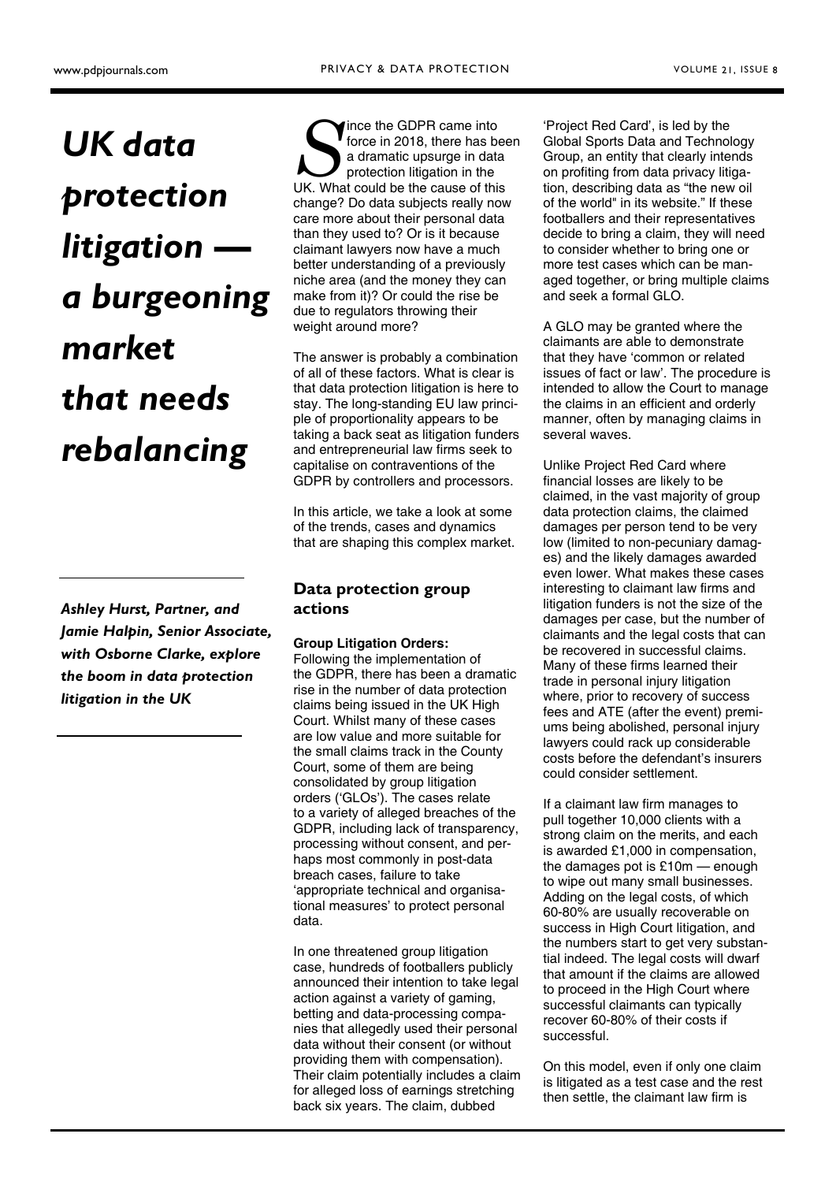# UK data protection litigation a burgeoning market that needs

rebalancing

Ashley Hurst, Partner, and Jamie Halpin, Senior Associate, with Osborne Clarke, explore the boom in data protection litigation in the UK

Since the GDPR came into<br>force in 2018, there has been a dramatic upsurge in data<br>protection litigation in the<br>UK. What could be the cause of this ince the GDPR came into force in 2018, there has been a dramatic upsurge in data protection litigation in the change? Do data subjects really now care more about their personal data than they used to? Or is it because claimant lawyers now have a much better understanding of a previously niche area (and the money they can make from it)? Or could the rise be due to regulators throwing their weight around more?

The answer is probably a combination of all of these factors. What is clear is that data protection litigation is here to stay. The long-standing EU law principle of proportionality appears to be taking a back seat as litigation funders and entrepreneurial law firms seek to capitalise on contraventions of the GDPR by controllers and processors.

In this article, we take a look at some of the trends, cases and dynamics that are shaping this complex market.

#### Data protection group actions

#### Group Litigation Orders:

Following the implementation of the GDPR, there has been a dramatic rise in the number of data protection claims being issued in the UK High Court. Whilst many of these cases are low value and more suitable for the small claims track in the County Court, some of them are being consolidated by group litigation orders ('GLOs'). The cases relate to a variety of alleged breaches of the GDPR, including lack of transparency, processing without consent, and perhaps most commonly in post-data breach cases, failure to take 'appropriate technical and organisational measures' to protect personal data.

In one threatened group litigation case, hundreds of footballers publicly announced their intention to take legal action against a variety of gaming, betting and data-processing companies that allegedly used their personal data without their consent (or without providing them with compensation). Their claim potentially includes a claim for alleged loss of earnings stretching back six years. The claim, dubbed

'Project Red Card', is led by the Global Sports Data and Technology Group, an entity that clearly intends on profiting from data privacy litigation, describing data as "the new oil of the world" in its website." If these footballers and their representatives decide to bring a claim, they will need to consider whether to bring one or more test cases which can be managed together, or bring multiple claims and seek a formal GLO.

A GLO may be granted where the claimants are able to demonstrate that they have 'common or related issues of fact or law'. The procedure is intended to allow the Court to manage the claims in an efficient and orderly manner, often by managing claims in several waves.

Unlike Project Red Card where financial losses are likely to be claimed, in the vast majority of group data protection claims, the claimed damages per person tend to be very low (limited to non-pecuniary damages) and the likely damages awarded even lower. What makes these cases interesting to claimant law firms and litigation funders is not the size of the damages per case, but the number of claimants and the legal costs that can be recovered in successful claims. Many of these firms learned their trade in personal injury litigation where, prior to recovery of success fees and ATE (after the event) premiums being abolished, personal injury lawyers could rack up considerable costs before the defendant's insurers could consider settlement.

If a claimant law firm manages to pull together 10,000 clients with a strong claim on the merits, and each is awarded £1,000 in compensation, the damages pot is £10m — enough to wipe out many small businesses. Adding on the legal costs, of which 60-80% are usually recoverable on success in High Court litigation, and the numbers start to get very substantial indeed. The legal costs will dwarf that amount if the claims are allowed to proceed in the High Court where successful claimants can typically recover 60-80% of their costs if successful.

On this model, even if only one claim is litigated as a test case and the rest then settle, the claimant law firm is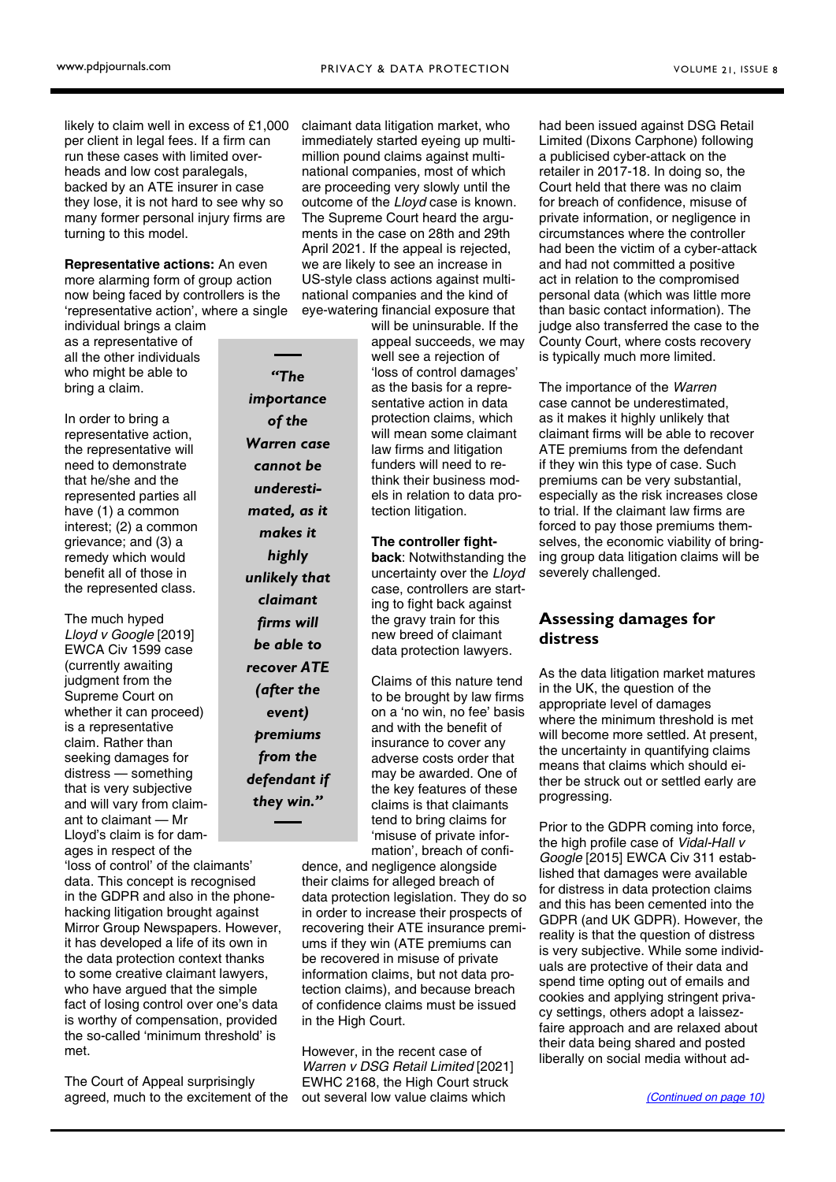<span id="page-1-0"></span>likely to claim well in excess of £1,000 per client in legal fees. If a firm can run these cases with limited overheads and low cost paralegals, backed by an ATE insurer in case they lose, it is not hard to see why so many former personal injury firms are turning to this model.

Representative actions: An even more alarming form of group action now being faced by controllers is the 'representative action', where a single

individual brings a claim as a representative of all the other individuals who might be able to bring a claim.

In order to bring a representative action, the representative will need to demonstrate that he/she and the represented parties all have (1) a common interest; (2) a common grievance; and (3) a remedy which would benefit all of those in the represented class.

The much hyped Lloyd v Google [2019] EWCA Civ 1599 case (currently awaiting judgment from the Supreme Court on whether it can proceed) is a representative claim. Rather than seeking damages for distress — something that is very subjective and will vary from claimant to claimant — Mr Lloyd's claim is for damages in respect of the

'loss of control' of the claimants' data. This concept is recognised in the GDPR and also in the phonehacking litigation brought against Mirror Group Newspapers. However, it has developed a life of its own in the data protection context thanks to some creative claimant lawyers, who have argued that the simple fact of losing control over one's data is worthy of compensation, provided the so-called 'minimum threshold' is

The Court of Appeal surprisingly agreed, much to the excitement of the

met.

of the Warren case cannot be underestimated, as it makes it highly unlikely that claimant firms will be able to recover ATE (after the event) premiums from the defendant if they win."

"The importance

claimant data litigation market, who immediately started eyeing up multimillion pound claims against multinational companies, most of which are proceeding very slowly until the outcome of the Lloyd case is known. The Supreme Court heard the arguments in the case on 28th and 29th April 2021. If the appeal is rejected, we are likely to see an increase in US-style class actions against multinational companies and the kind of

eye-watering financial exposure that will be uninsurable. If the appeal succeeds, we may well see a rejection of 'loss of control damages' as the basis for a representative action in data protection claims, which will mean some claimant law firms and litigation funders will need to rethink their business models in relation to data protection litigation.

> The controller fightback: Notwithstanding the uncertainty over the Lloyd case, controllers are starting to fight back against the gravy train for this new breed of claimant data protection lawyers.

Claims of this nature tend to be brought by law firms on a 'no win, no fee' basis and with the benefit of insurance to cover any adverse costs order that may be awarded. One of the key features of these claims is that claimants tend to bring claims for 'misuse of private information', breach of confi-

dence, and negligence alongside their claims for alleged breach of data protection legislation. They do so in order to increase their prospects of recovering their ATE insurance premiums if they win (ATE premiums can be recovered in misuse of private information claims, but not data protection claims), and because breach of confidence claims must be issued in the High Court.

However, in the recent case of Warren v DSG Retail Limited [2021] EWHC 2168, the High Court struck out several low value claims which

had been issued against DSG Retail Limited (Dixons Carphone) following a publicised cyber-attack on the retailer in 2017-18. In doing so, the Court held that there was no claim for breach of confidence, misuse of private information, or negligence in circumstances where the controller had been the victim of a cyber-attack and had not committed a positive act in relation to the compromised personal data (which was little more than basic contact information). The judge also transferred the case to the County Court, where costs recovery is typically much more limited.

The importance of the Warren case cannot be underestimated, as it makes it highly unlikely that claimant firms will be able to recover ATE premiums from the defendant if they win this type of case. Such premiums can be very substantial, especially as the risk increases close to trial. If the claimant law firms are forced to pay those premiums themselves, the economic viability of bringing group data litigation claims will be severely challenged.

#### Assessing damages for distress

As the data litigation market matures in the UK, the question of the appropriate level of damages where the minimum threshold is met will become more settled. At present, the uncertainty in quantifying claims means that claims which should either be struck out or settled early are progressing.

Prior to the GDPR coming into force, the high profile case of Vidal-Hall v Google [2015] EWCA Civ 311 established that damages were available for distress in data protection claims and this has been cemented into the GDPR (and UK GDPR). However, the reality is that the question of distress is very subjective. While some individuals are protective of their data and spend time opting out of emails and cookies and applying stringent privacy settings, others adopt a laissezfaire approach and are relaxed about their data being shared and posted liberally on social media without ad-

[\(Continued on page 10\)](#page-2-0)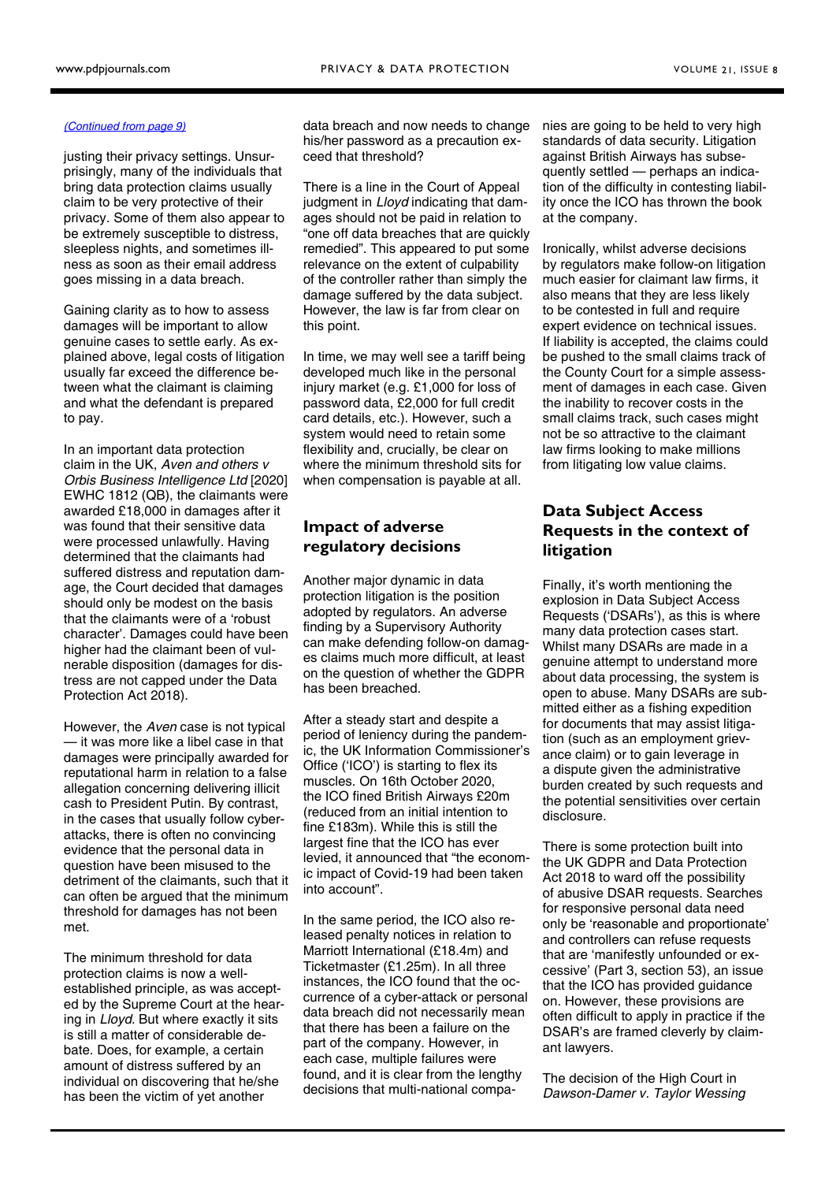#### <span id="page-2-0"></span>[\(Continued from page 9\)](#page-1-0)

justing their privacy settings. Unsurprisingly, many of the individuals that bring data protection claims usually claim to be very protective of their privacy. Some of them also appear to be extremely susceptible to distress, sleepless nights, and sometimes illness as soon as their email address goes missing in a data breach.

Gaining clarity as to how to assess damages will be important to allow genuine cases to settle early. As explained above, legal costs of litigation usually far exceed the difference between what the claimant is claiming and what the defendant is prepared to pay.

In an important data protection claim in the UK, Aven and others v Orbis Business Intelligence Ltd [2020] EWHC 1812 (QB), the claimants were awarded £18,000 in damages after it was found that their sensitive data were processed unlawfully. Having determined that the claimants had suffered distress and reputation damage, the Court decided that damages should only be modest on the basis that the claimants were of a 'robust character'. Damages could have been higher had the claimant been of vulnerable disposition (damages for distress are not capped under the Data Protection Act 2018).

However, the Aven case is not typical — it was more like a libel case in that damages were principally awarded for reputational harm in relation to a false allegation concerning delivering illicit cash to President Putin. By contrast, in the cases that usually follow cyberattacks, there is often no convincing evidence that the personal data in question have been misused to the detriment of the claimants, such that it can often be argued that the minimum threshold for damages has not been met.

The minimum threshold for data protection claims is now a wellestablished principle, as was accepted by the Supreme Court at the hearing in Lloyd. But where exactly it sits is still a matter of considerable debate. Does, for example, a certain amount of distress suffered by an individual on discovering that he/she has been the victim of yet another

data breach and now needs to change his/her password as a precaution exceed that threshold?

There is a line in the Court of Appeal judgment in Lloyd indicating that damages should not be paid in relation to "one off data breaches that are quickly remedied". This appeared to put some relevance on the extent of culpability of the controller rather than simply the damage suffered by the data subject. However, the law is far from clear on this point.

In time, we may well see a tariff being developed much like in the personal injury market (e.g. £1,000 for loss of password data, £2,000 for full credit card details, etc.). However, such a system would need to retain some flexibility and, crucially, be clear on where the minimum threshold sits for when compensation is payable at all.

#### Impact of adverse regulatory decisions

Another major dynamic in data protection litigation is the position adopted by regulators. An adverse finding by a Supervisory Authority can make defending follow-on damages claims much more difficult, at least on the question of whether the GDPR has been breached.

After a steady start and despite a period of leniency during the pandemic, the UK Information Commissioner's Office ('ICO') is starting to flex its muscles. On 16th October 2020, the ICO fined British Airways £20m (reduced from an initial intention to fine £183m). While this is still the largest fine that the ICO has ever levied, it announced that "the economic impact of Covid-19 had been taken into account".

In the same period, the ICO also released penalty notices in relation to Marriott International (£18.4m) and Ticketmaster (£1.25m). In all three instances, the ICO found that the occurrence of a cyber-attack or personal data breach did not necessarily mean that there has been a failure on the part of the company. However, in each case, multiple failures were found, and it is clear from the lengthy decisions that multi-national companies are going to be held to very high standards of data security. Litigation against British Airways has subsequently settled — perhaps an indication of the difficulty in contesting liability once the ICO has thrown the book at the company.

Ironically, whilst adverse decisions by regulators make follow-on litigation much easier for claimant law firms, it also means that they are less likely to be contested in full and require expert evidence on technical issues. If liability is accepted, the claims could be pushed to the small claims track of the County Court for a simple assessment of damages in each case. Given the inability to recover costs in the small claims track, such cases might not be so attractive to the claimant law firms looking to make millions from litigating low value claims.

#### Data Subject Access Requests in the context of litigation

Finally, it's worth mentioning the explosion in Data Subject Access Requests ('DSARs'), as this is where many data protection cases start. Whilst many DSARs are made in a genuine attempt to understand more about data processing, the system is open to abuse. Many DSARs are submitted either as a fishing expedition for documents that may assist litigation (such as an employment grievance claim) or to gain leverage in a dispute given the administrative burden created by such requests and the potential sensitivities over certain disclosure.

There is some protection built into the UK GDPR and Data Protection Act 2018 to ward off the possibility of abusive DSAR requests. Searches for responsive personal data need only be 'reasonable and proportionate' and controllers can refuse requests that are 'manifestly unfounded or excessive' (Part 3, section 53), an issue that the ICO has provided guidance on. However, these provisions are often difficult to apply in practice if the DSAR's are framed cleverly by claimant lawyers.

The decision of the High Court in Dawson-Damer v. Taylor Wessing